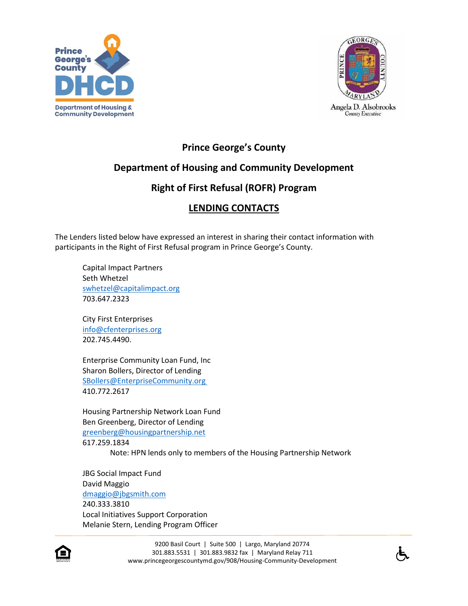



## **Prince George's County**

## **Department of Housing and Community Development**

## **Right of First Refusal (ROFR) Program**

## **LENDING CONTACTS**

The Lenders listed below have expressed an interest in sharing their contact information with participants in the Right of First Refusal program in Prince George's County.

Capital Impact Partners Seth Whetzel [swhetzel@capitalimpact.org](mailto:swhetzel@capitalimpact.org) 703.647.2323

City First Enterprises [info@cfenterprises.org](mailto:info@cfenterprises.org) 202.745.4490.

Enterprise Community Loan Fund, Inc Sharon Bollers, Director of Lending SBollers@EnterpriseCommunity.org 410.772.2617

Housing Partnership Network Loan Fund Ben Greenberg, Director of Lending [greenberg@housingpartnership.net](mailto:greenberg@housingpartnership.net) 617.259.1834

Note: HPN lends only to members of the Housing Partnership Network

JBG Social Impact Fund David Maggio [dmaggio@jbgsmith.com](mailto:dmaggio@jbgsmith.com) 240.333.3810 Local Initiatives Support Corporation Melanie Stern, Lending Program Officer



9200 Basil Court | Suite 500 | Largo, Maryland 20774 301.883.5531 | 301.883.9832 fax | Maryland Relay 711 www.princegeorgescountymd.gov/908/Housing-Community-Development